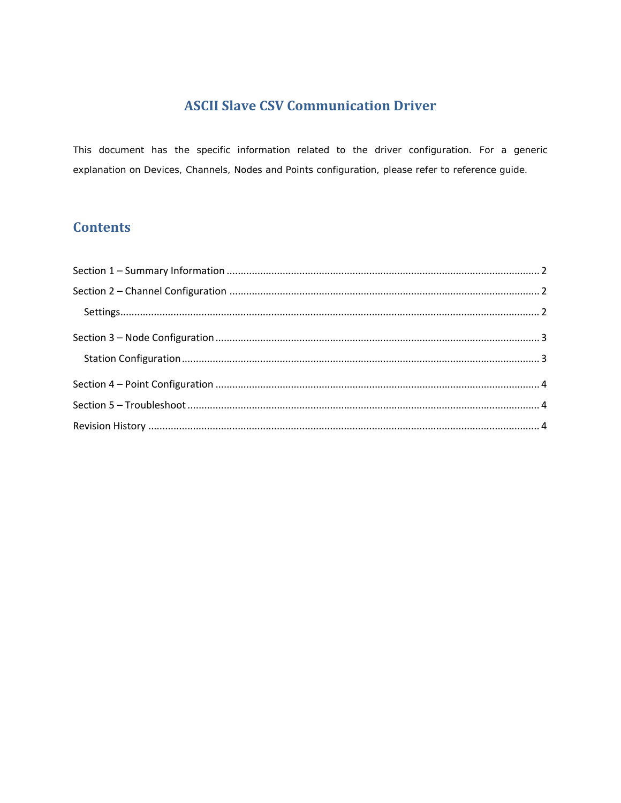## **ASCII Slave CSV Communication Driver**

This document has the specific information related to the driver configuration. For a generic explanation on Devices, Channels, Nodes and Points configuration, please refer to reference guide.

# **Contents**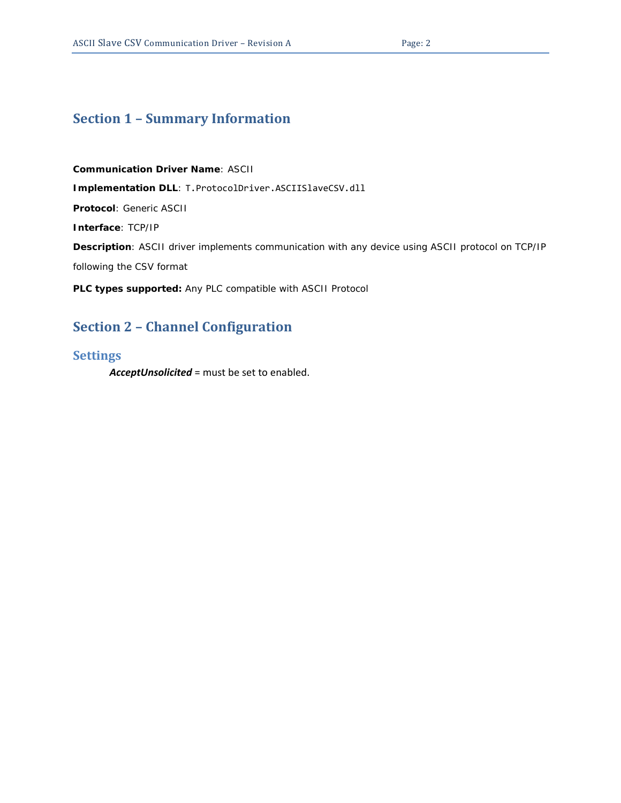### <span id="page-1-0"></span>**Section 1 – Summary Information**

**Communication Driver Name**: ASCII **Implementation DLL**: T.ProtocolDriver.ASCIISlaveCSV.dll **Protocol**: Generic ASCII **Interface**: TCP/IP **Description**: ASCII driver implements communication with any device using ASCII protocol on TCP/IP following the CSV format **PLC types supported:** Any PLC compatible with ASCII Protocol

# <span id="page-1-1"></span>**Section 2 – Channel Configuration**

#### <span id="page-1-2"></span>**Settings**

*AcceptUnsolicited* = must be set to enabled.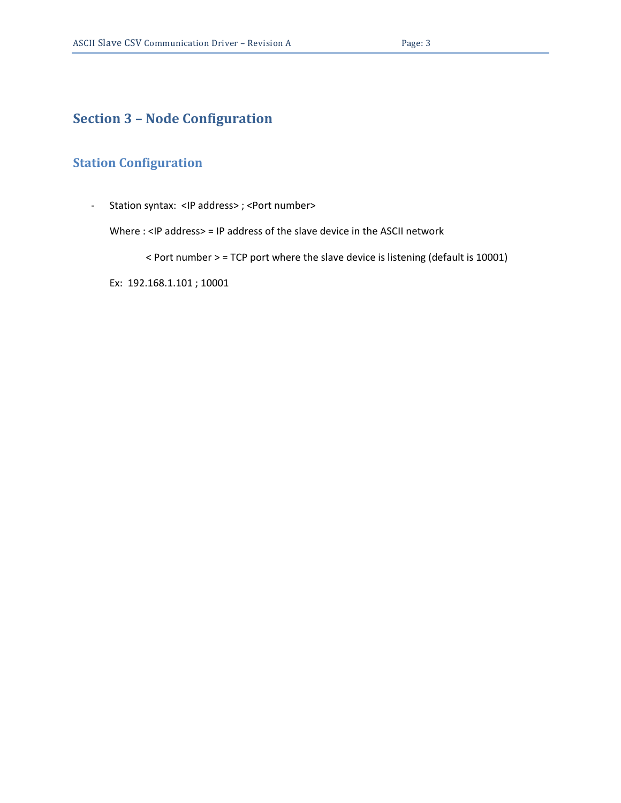# <span id="page-2-0"></span>**Section 3 – Node Configuration**

#### <span id="page-2-1"></span>**Station Configuration**

- Station syntax: <IP address> ; <Port number>

Where : <IP address> = IP address of the slave device in the ASCII network

< Port number > = TCP port where the slave device is listening (default is 10001)

Ex: 192.168.1.101 ; 10001